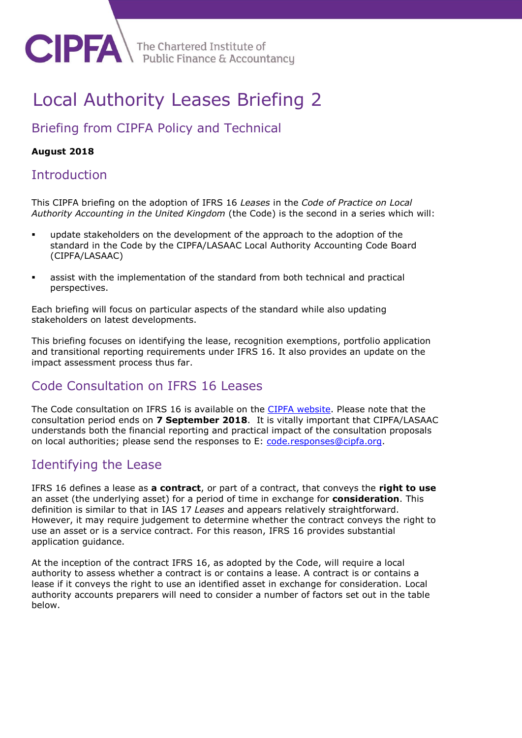# Local Authority Leases Briefing 2

# Briefing from CIPFA Policy and Technical

### **August 2018**

### **Introduction**

**CIPFA** 

This CIPFA briefing on the adoption of IFRS 16 *Leases* in the *Code of Practice on Local Authority Accounting in the United Kingdom* (the Code) is the second in a series which will:

- update stakeholders on the development of the approach to the adoption of the standard in the Code by the CIPFA/LASAAC Local Authority Accounting Code Board (CIPFA/LASAAC)
- assist with the implementation of the standard from both technical and practical perspectives.

Each briefing will focus on particular aspects of the standard while also updating stakeholders on latest developments.

This briefing focuses on identifying the lease, recognition exemptions, portfolio application and transitional reporting requirements under IFRS 16. It also provides an update on the impact assessment process thus far.

### Code Consultation on IFRS 16 Leases

The Code consultation on IFRS 16 is available on the [CIPFA website.](http://www.cipfa.org/policy-and-guidance/consultations/code-of-practice-on-local-authority-accounting-in-the-united-kingdom-consultation-on-ifrs-16-leases) Please note that the consultation period ends on **7 September 2018**. It is vitally important that CIPFA/LASAAC understands both the financial reporting and practical impact of the consultation proposals on local authorities; please send the responses to E: [code.responses@cipfa.org.](mailto:code.responses@cipfa.org)

### Identifying the Lease

IFRS 16 defines a lease as **a contract**, or part of a contract, that conveys the **right to use** an asset (the underlying asset) for a period of time in exchange for **consideration**. This definition is similar to that in IAS 17 *Leases* and appears relatively straightforward. However, it may require judgement to determine whether the contract conveys the right to use an asset or is a service contract. For this reason, IFRS 16 provides substantial application guidance.

At the inception of the contract IFRS 16, as adopted by the Code, will require a local authority to assess whether a contract is or contains a lease. A contract is or contains a lease if it conveys the right to use an identified asset in exchange for consideration. Local authority accounts preparers will need to consider a number of factors set out in the table below.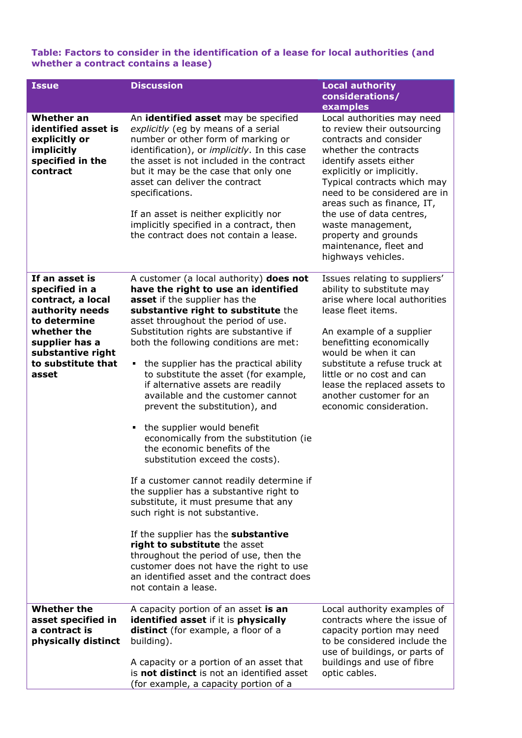#### **Table: Factors to consider in the identification of a lease for local authorities (and whether a contract contains a lease)**

| <b>Issue</b>                                                                                                                                                                  | <b>Discussion</b>                                                                                                                                                                                                                                                                                                                                                                                                                                                                                                                                                                                                                                                                                                                                                                                                                                                                                                                                                                                                                     | <b>Local authority</b><br>considerations/<br>examples                                                                                                                                                                                                                                                                                                                                     |
|-------------------------------------------------------------------------------------------------------------------------------------------------------------------------------|---------------------------------------------------------------------------------------------------------------------------------------------------------------------------------------------------------------------------------------------------------------------------------------------------------------------------------------------------------------------------------------------------------------------------------------------------------------------------------------------------------------------------------------------------------------------------------------------------------------------------------------------------------------------------------------------------------------------------------------------------------------------------------------------------------------------------------------------------------------------------------------------------------------------------------------------------------------------------------------------------------------------------------------|-------------------------------------------------------------------------------------------------------------------------------------------------------------------------------------------------------------------------------------------------------------------------------------------------------------------------------------------------------------------------------------------|
| Whether an<br>identified asset is<br>explicitly or<br>implicitly<br>specified in the<br>contract                                                                              | An identified asset may be specified<br>explicitly (eg by means of a serial<br>number or other form of marking or<br>identification), or <i>implicitly</i> . In this case<br>the asset is not included in the contract<br>but it may be the case that only one<br>asset can deliver the contract<br>specifications.<br>If an asset is neither explicitly nor<br>implicitly specified in a contract, then<br>the contract does not contain a lease.                                                                                                                                                                                                                                                                                                                                                                                                                                                                                                                                                                                    | Local authorities may need<br>to review their outsourcing<br>contracts and consider<br>whether the contracts<br>identify assets either<br>explicitly or implicitly.<br>Typical contracts which may<br>need to be considered are in<br>areas such as finance, IT,<br>the use of data centres,<br>waste management,<br>property and grounds<br>maintenance, fleet and<br>highways vehicles. |
| If an asset is<br>specified in a<br>contract, a local<br>authority needs<br>to determine<br>whether the<br>supplier has a<br>substantive right<br>to substitute that<br>asset | A customer (a local authority) does not<br>have the right to use an identified<br>asset if the supplier has the<br>substantive right to substitute the<br>asset throughout the period of use.<br>Substitution rights are substantive if<br>both the following conditions are met:<br>the supplier has the practical ability<br>п.<br>to substitute the asset (for example,<br>if alternative assets are readily<br>available and the customer cannot<br>prevent the substitution), and<br>the supplier would benefit<br>economically from the substitution (ie<br>the economic benefits of the<br>substitution exceed the costs).<br>If a customer cannot readily determine if<br>the supplier has a substantive right to<br>substitute, it must presume that any<br>such right is not substantive.<br>If the supplier has the substantive<br>right to substitute the asset<br>throughout the period of use, then the<br>customer does not have the right to use<br>an identified asset and the contract does<br>not contain a lease. | Issues relating to suppliers'<br>ability to substitute may<br>arise where local authorities<br>lease fleet items.<br>An example of a supplier<br>benefitting economically<br>would be when it can<br>substitute a refuse truck at<br>little or no cost and can<br>lease the replaced assets to<br>another customer for an<br>economic consideration.                                      |
| <b>Whether the</b><br>asset specified in<br>a contract is<br>physically distinct                                                                                              | A capacity portion of an asset is an<br>identified asset if it is physically<br>distinct (for example, a floor of a<br>building).<br>A capacity or a portion of an asset that<br>is not distinct is not an identified asset<br>(for example, a capacity portion of a                                                                                                                                                                                                                                                                                                                                                                                                                                                                                                                                                                                                                                                                                                                                                                  | Local authority examples of<br>contracts where the issue of<br>capacity portion may need<br>to be considered include the<br>use of buildings, or parts of<br>buildings and use of fibre<br>optic cables.                                                                                                                                                                                  |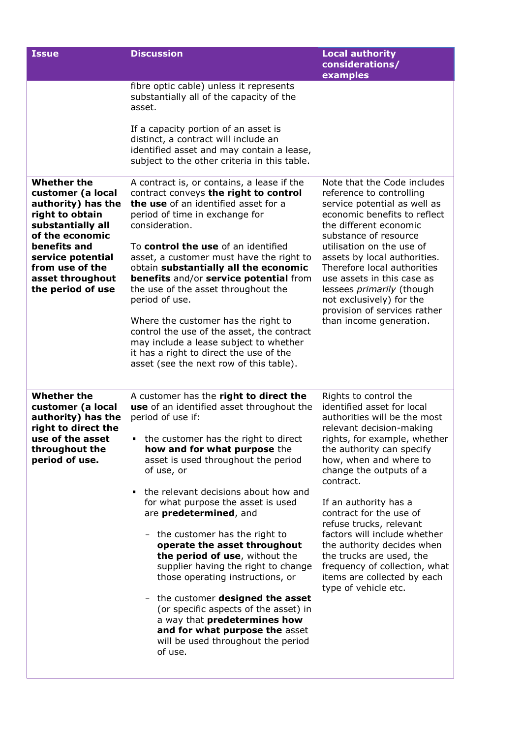| <b>Issue</b>                                                                                                                                                                                                              | <b>Discussion</b>                                                                                                                                                                                                                       | <b>Local authority</b><br>considerations/<br>examples                                                                                                                                                                                                                                                                                                                                                                           |
|---------------------------------------------------------------------------------------------------------------------------------------------------------------------------------------------------------------------------|-----------------------------------------------------------------------------------------------------------------------------------------------------------------------------------------------------------------------------------------|---------------------------------------------------------------------------------------------------------------------------------------------------------------------------------------------------------------------------------------------------------------------------------------------------------------------------------------------------------------------------------------------------------------------------------|
|                                                                                                                                                                                                                           | fibre optic cable) unless it represents<br>substantially all of the capacity of the<br>asset.<br>If a capacity portion of an asset is                                                                                                   |                                                                                                                                                                                                                                                                                                                                                                                                                                 |
|                                                                                                                                                                                                                           | distinct, a contract will include an<br>identified asset and may contain a lease,<br>subject to the other criteria in this table.                                                                                                       |                                                                                                                                                                                                                                                                                                                                                                                                                                 |
| <b>Whether the</b><br>customer (a local<br>authority) has the<br>right to obtain<br>substantially all<br>of the economic<br>benefits and<br>service potential<br>from use of the<br>asset throughout<br>the period of use | A contract is, or contains, a lease if the<br>contract conveys the right to control<br>the use of an identified asset for a<br>period of time in exchange for<br>consideration.                                                         | Note that the Code includes<br>reference to controlling<br>service potential as well as<br>economic benefits to reflect<br>the different economic<br>substance of resource<br>utilisation on the use of<br>assets by local authorities.<br>Therefore local authorities<br>use assets in this case as<br>lessees <i>primarily</i> (though<br>not exclusively) for the<br>provision of services rather<br>than income generation. |
|                                                                                                                                                                                                                           | To control the use of an identified<br>asset, a customer must have the right to<br>obtain substantially all the economic<br>benefits and/or service potential from<br>the use of the asset throughout the<br>period of use.             |                                                                                                                                                                                                                                                                                                                                                                                                                                 |
|                                                                                                                                                                                                                           | Where the customer has the right to<br>control the use of the asset, the contract<br>may include a lease subject to whether<br>it has a right to direct the use of the<br>asset (see the next row of this table).                       |                                                                                                                                                                                                                                                                                                                                                                                                                                 |
| <b>Whether the</b><br>customer (a local<br>authority) has the<br>right to direct the<br>use of the asset<br>throughout the<br>period of use.                                                                              | A customer has the right to direct the<br>use of an identified asset throughout the<br>period of use if:<br>• the customer has the right to direct<br>how and for what purpose the<br>asset is used throughout the period<br>of use, or | Rights to control the<br>identified asset for local<br>authorities will be the most<br>relevant decision-making<br>rights, for example, whether<br>the authority can specify<br>how, when and where to<br>change the outputs of a<br>contract.                                                                                                                                                                                  |
|                                                                                                                                                                                                                           | the relevant decisions about how and<br>٠<br>for what purpose the asset is used<br>are predetermined, and                                                                                                                               | If an authority has a<br>contract for the use of<br>refuse trucks, relevant<br>factors will include whether<br>the authority decides when<br>the trucks are used, the<br>frequency of collection, what<br>items are collected by each<br>type of vehicle etc.                                                                                                                                                                   |
|                                                                                                                                                                                                                           | - the customer has the right to<br>operate the asset throughout<br>the period of use, without the<br>supplier having the right to change<br>those operating instructions, or                                                            |                                                                                                                                                                                                                                                                                                                                                                                                                                 |
|                                                                                                                                                                                                                           | - the customer <b>designed the asset</b><br>(or specific aspects of the asset) in<br>a way that predetermines how<br>and for what purpose the asset<br>will be used throughout the period<br>of use.                                    |                                                                                                                                                                                                                                                                                                                                                                                                                                 |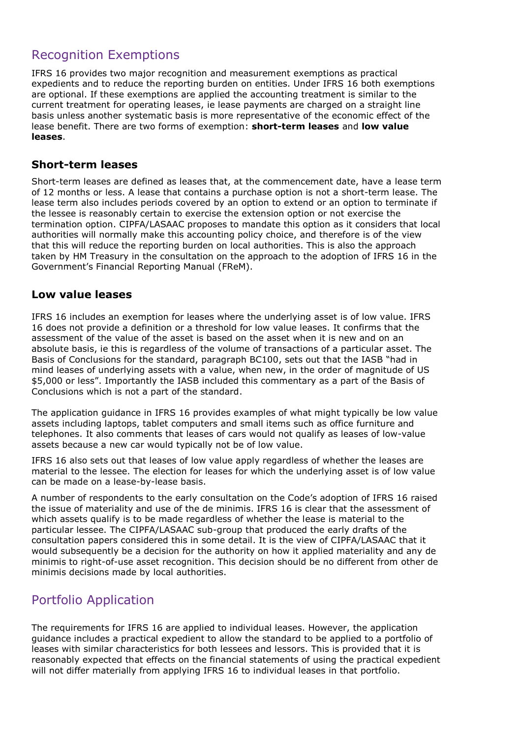# Recognition Exemptions

IFRS 16 provides two major recognition and measurement exemptions as practical expedients and to reduce the reporting burden on entities. Under IFRS 16 both exemptions are optional. If these exemptions are applied the accounting treatment is similar to the current treatment for operating leases, ie lease payments are charged on a straight line basis unless another systematic basis is more representative of the economic effect of the lease benefit. There are two forms of exemption: **short-term leases** and **low value leases**.

#### **Short-term leases**

Short-term leases are defined as leases that, at the commencement date, have a lease term of 12 months or less. A lease that contains a purchase option is not a short-term lease. The lease term also includes periods covered by an option to extend or an option to terminate if the lessee is reasonably certain to exercise the extension option or not exercise the termination option. CIPFA/LASAAC proposes to mandate this option as it considers that local authorities will normally make this accounting policy choice, and therefore is of the view that this will reduce the reporting burden on local authorities. This is also the approach taken by HM Treasury in the consultation on the approach to the adoption of IFRS 16 in the Government's Financial Reporting Manual (FReM).

#### **Low value leases**

IFRS 16 includes an exemption for leases where the underlying asset is of low value. IFRS 16 does not provide a definition or a threshold for low value leases. It confirms that the assessment of the value of the asset is based on the asset when it is new and on an absolute basis, ie this is regardless of the volume of transactions of a particular asset. The Basis of Conclusions for the standard, paragraph BC100, sets out that the IASB "had in mind leases of underlying assets with a value, when new, in the order of magnitude of US \$5,000 or less". Importantly the IASB included this commentary as a part of the Basis of Conclusions which is not a part of the standard.

The application guidance in IFRS 16 provides examples of what might typically be low value assets including laptops, tablet computers and small items such as office furniture and telephones. It also comments that leases of cars would not qualify as leases of low-value assets because a new car would typically not be of low value.

IFRS 16 also sets out that leases of low value apply regardless of whether the leases are material to the lessee. The election for leases for which the underlying asset is of low value can be made on a lease-by-lease basis.

A number of respondents to the early consultation on the Code's adoption of IFRS 16 raised the issue of materiality and use of the de minimis. IFRS 16 is clear that the assessment of which assets qualify is to be made regardless of whether the lease is material to the particular lessee. The CIPFA/LASAAC sub-group that produced the early drafts of the consultation papers considered this in some detail. It is the view of CIPFA/LASAAC that it would subsequently be a decision for the authority on how it applied materiality and any de minimis to right-of-use asset recognition. This decision should be no different from other de minimis decisions made by local authorities.

## Portfolio Application

The requirements for IFRS 16 are applied to individual leases. However, the application guidance includes a practical expedient to allow the standard to be applied to a portfolio of leases with similar characteristics for both lessees and lessors. This is provided that it is reasonably expected that effects on the financial statements of using the practical expedient will not differ materially from applying IFRS 16 to individual leases in that portfolio.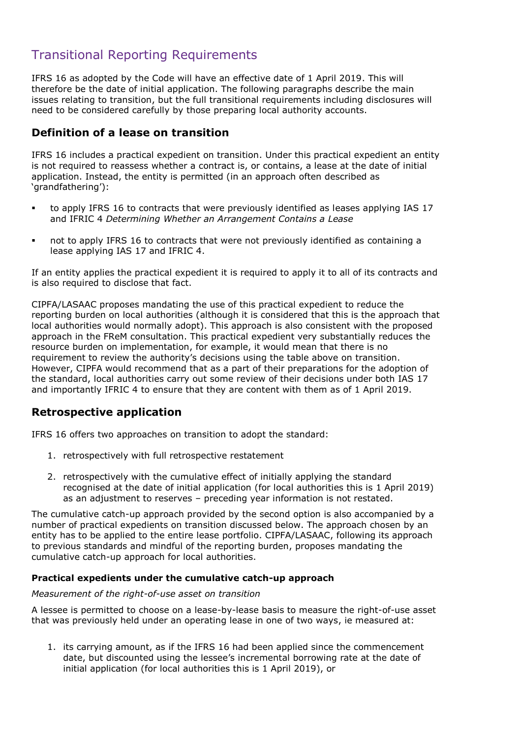# Transitional Reporting Requirements

IFRS 16 as adopted by the Code will have an effective date of 1 April 2019. This will therefore be the date of initial application. The following paragraphs describe the main issues relating to transition, but the full transitional requirements including disclosures will need to be considered carefully by those preparing local authority accounts.

#### **Definition of a lease on transition**

IFRS 16 includes a practical expedient on transition. Under this practical expedient an entity is not required to reassess whether a contract is, or contains, a lease at the date of initial application. Instead, the entity is permitted (in an approach often described as 'grandfathering'):

- to apply IFRS 16 to contracts that were previously identified as leases applying IAS 17 and IFRIC 4 *Determining Whether an Arrangement Contains a Lease*
- not to apply IFRS 16 to contracts that were not previously identified as containing a lease applying IAS 17 and IFRIC 4.

If an entity applies the practical expedient it is required to apply it to all of its contracts and is also required to disclose that fact.

CIPFA/LASAAC proposes mandating the use of this practical expedient to reduce the reporting burden on local authorities (although it is considered that this is the approach that local authorities would normally adopt). This approach is also consistent with the proposed approach in the FReM consultation. This practical expedient very substantially reduces the resource burden on implementation, for example, it would mean that there is no requirement to review the authority's decisions using the table above on transition. However, CIPFA would recommend that as a part of their preparations for the adoption of the standard, local authorities carry out some review of their decisions under both IAS 17 and importantly IFRIC 4 to ensure that they are content with them as of 1 April 2019.

### **Retrospective application**

IFRS 16 offers two approaches on transition to adopt the standard:

- 1. retrospectively with full retrospective restatement
- 2. retrospectively with the cumulative effect of initially applying the standard recognised at the date of initial application (for local authorities this is 1 April 2019) as an adjustment to reserves – preceding year information is not restated.

The cumulative catch-up approach provided by the second option is also accompanied by a number of practical expedients on transition discussed below. The approach chosen by an entity has to be applied to the entire lease portfolio. CIPFA/LASAAC, following its approach to previous standards and mindful of the reporting burden, proposes mandating the cumulative catch-up approach for local authorities.

#### **Practical expedients under the cumulative catch-up approach**

#### *Measurement of the right-of-use asset on transition*

A lessee is permitted to choose on a lease-by-lease basis to measure the right-of-use asset that was previously held under an operating lease in one of two ways, ie measured at:

1. its carrying amount, as if the IFRS 16 had been applied since the commencement date, but discounted using the lessee's incremental borrowing rate at the date of initial application (for local authorities this is 1 April 2019), or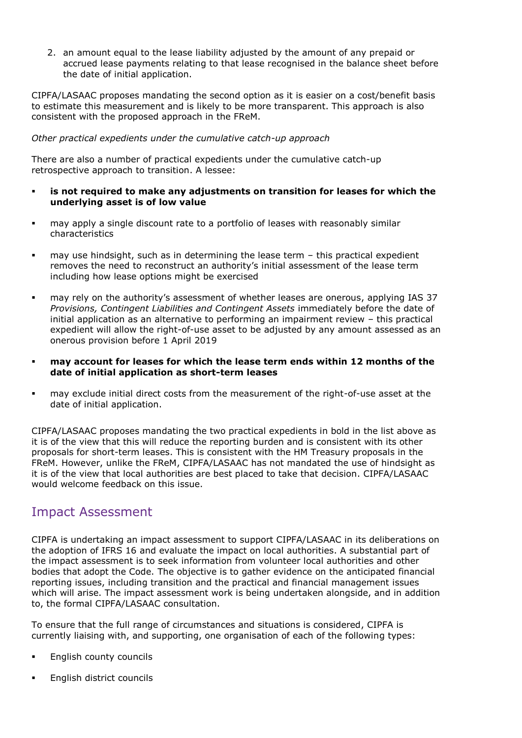2. an amount equal to the lease liability adjusted by the amount of any prepaid or accrued lease payments relating to that lease recognised in the balance sheet before the date of initial application.

CIPFA/LASAAC proposes mandating the second option as it is easier on a cost/benefit basis to estimate this measurement and is likely to be more transparent. This approach is also consistent with the proposed approach in the FReM.

#### *Other practical expedients under the cumulative catch-up approach*

There are also a number of practical expedients under the cumulative catch-up retrospective approach to transition. A lessee:

- **is not required to make any adjustments on transition for leases for which the underlying asset is of low value**
- may apply a single discount rate to a portfolio of leases with reasonably similar characteristics
- may use hindsight, such as in determining the lease term this practical expedient removes the need to reconstruct an authority's initial assessment of the lease term including how lease options might be exercised
- may rely on the authority's assessment of whether leases are onerous, applying IAS 37 *Provisions, Contingent Liabilities and Contingent Assets* immediately before the date of initial application as an alternative to performing an impairment review – this practical expedient will allow the right-of-use asset to be adjusted by any amount assessed as an onerous provision before 1 April 2019
- **may account for leases for which the lease term ends within 12 months of the date of initial application as short-term leases**
- may exclude initial direct costs from the measurement of the right-of-use asset at the date of initial application.

CIPFA/LASAAC proposes mandating the two practical expedients in bold in the list above as it is of the view that this will reduce the reporting burden and is consistent with its other proposals for short-term leases. This is consistent with the HM Treasury proposals in the FReM. However, unlike the FReM, CIPFA/LASAAC has not mandated the use of hindsight as it is of the view that local authorities are best placed to take that decision. CIPFA/LASAAC would welcome feedback on this issue.

### Impact Assessment

CIPFA is undertaking an impact assessment to support CIPFA/LASAAC in its deliberations on the adoption of IFRS 16 and evaluate the impact on local authorities. A substantial part of the impact assessment is to seek information from volunteer local authorities and other bodies that adopt the Code. The objective is to gather evidence on the anticipated financial reporting issues, including transition and the practical and financial management issues which will arise. The impact assessment work is being undertaken alongside, and in addition to, the formal CIPFA/LASAAC consultation.

To ensure that the full range of circumstances and situations is considered, CIPFA is currently liaising with, and supporting, one organisation of each of the following types:

- English county councils
- English district councils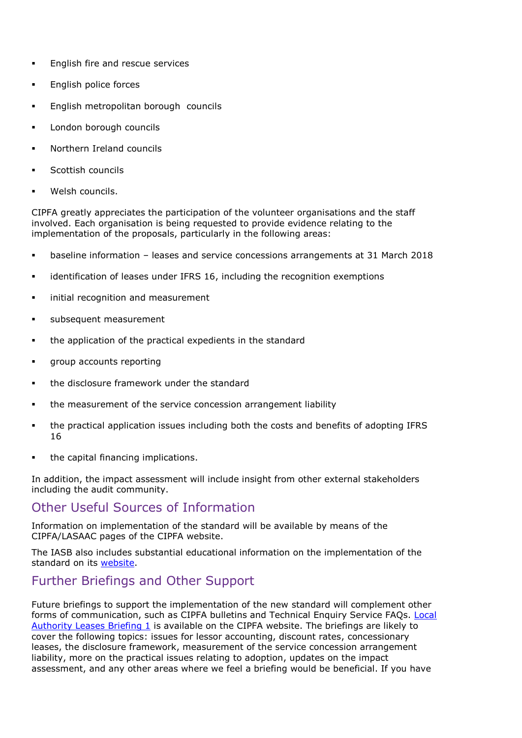- **English fire and rescue services**
- English police forces
- English metropolitan borough councils
- London borough councils
- Northern Ireland councils
- Scottish councils
- Welsh councils.

CIPFA greatly appreciates the participation of the volunteer organisations and the staff involved. Each organisation is being requested to provide evidence relating to the implementation of the proposals, particularly in the following areas:

- baseline information leases and service concessions arrangements at 31 March 2018
- identification of leases under IFRS 16, including the recognition exemptions
- initial recognition and measurement
- subsequent measurement
- the application of the practical expedients in the standard
- group accounts reporting
- the disclosure framework under the standard
- the measurement of the service concession arrangement liability
- the practical application issues including both the costs and benefits of adopting IFRS 16
- the capital financing implications.

In addition, the impact assessment will include insight from other external stakeholders including the audit community.

### Other Useful Sources of Information

Information on implementation of the standard will be available by means of the CIPFA/LASAAC pages of the CIPFA website.

The IASB also includes substantial educational information on the implementation of the standard on its [website.](https://www.ifrs.org/supporting-implementation/supporting-materials-by-ifrs-standard/ifrs-16/)

### Further Briefings and Other Support

Future briefings to support the implementation of the new standard will complement other forms of communication, such as CIPFA bulletins and Technical Enquiry Service FAQs. Local [Authority Leases Briefing 1](file:///C:/Users/SarahS/Downloads/Local_Authority_Leasing_Briefing_Number_1_For_Issue%20(1).pdf) is available on the CIPFA website. The briefings are likely to cover the following topics: issues for lessor accounting, discount rates, concessionary leases, the disclosure framework, measurement of the service concession arrangement liability, more on the practical issues relating to adoption, updates on the impact assessment, and any other areas where we feel a briefing would be beneficial. If you have